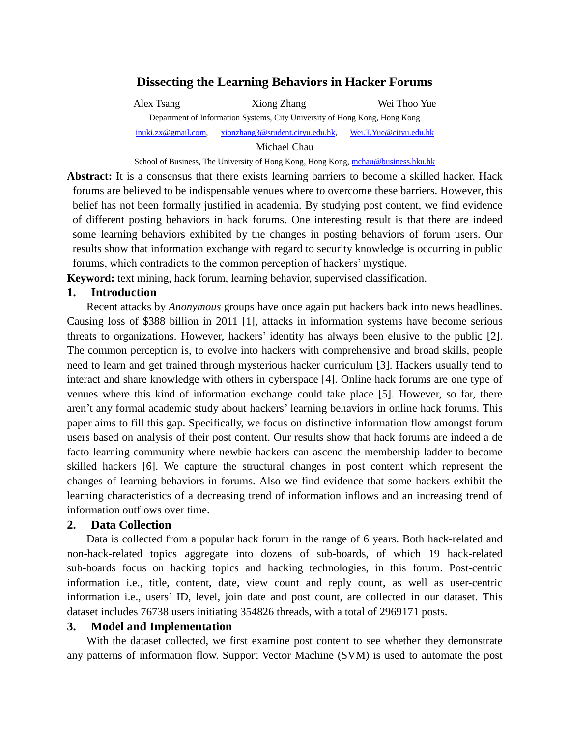# **Dissecting the Learning Behaviors in Hacker Forums**

Alex Tsang Xiong Zhang Wei Thoo Yue Department of Information Systems, City University of Hong Kong, Hong Kong [inuki.zx@gmail.com,](mailto:inuki.zx@gmail.com) [xionzhang3@student.cityu.edu.hk,](mailto:xionzhang3@student.cityu.edu.hk) [Wei.T.Yue@cityu.edu.hk](mailto:Wei.T.Yue@cityu.edu.hk)

Michael Chau

School of Business, The University of Hong Kong, Hong Kong[, mchau@business.hku.hk](mailto:mchau@business.hku.hk)

**Abstract:** It is a consensus that there exists learning barriers to become a skilled hacker. Hack forums are believed to be indispensable venues where to overcome these barriers. However, this belief has not been formally justified in academia. By studying post content, we find evidence of different posting behaviors in hack forums. One interesting result is that there are indeed some learning behaviors exhibited by the changes in posting behaviors of forum users. Our results show that information exchange with regard to security knowledge is occurring in public forums, which contradicts to the common perception of hackers' mystique.

**Keyword:** text mining, hack forum, learning behavior, supervised classification.

### **1. Introduction**

Recent attacks by *Anonymous* groups have once again put hackers back into news headlines. Causing loss of \$388 billion in 2011 [1], attacks in information systems have become serious threats to organizations. However, hackers' identity has always been elusive to the public [2]. The common perception is, to evolve into hackers with comprehensive and broad skills, people need to learn and get trained through mysterious hacker curriculum [3]. Hackers usually tend to interact and share knowledge with others in cyberspace [4]. Online hack forums are one type of venues where this kind of information exchange could take place [5]. However, so far, there aren't any formal academic study about hackers' learning behaviors in online hack forums. This paper aims to fill this gap. Specifically, we focus on distinctive information flow amongst forum users based on analysis of their post content. Our results show that hack forums are indeed a de facto learning community where newbie hackers can ascend the membership ladder to become skilled hackers [6]. We capture the structural changes in post content which represent the changes of learning behaviors in forums. Also we find evidence that some hackers exhibit the learning characteristics of a decreasing trend of information inflows and an increasing trend of information outflows over time.

## **2. Data Collection**

Data is collected from a popular hack forum in the range of 6 years. Both hack-related and non-hack-related topics aggregate into dozens of sub-boards, of which 19 hack-related sub-boards focus on hacking topics and hacking technologies, in this forum. Post-centric information i.e., title, content, date, view count and reply count, as well as user-centric information i.e., users' ID, level, join date and post count, are collected in our dataset. This dataset includes 76738 users initiating 354826 threads, with a total of 2969171 posts.

## **3. Model and Implementation**

With the dataset collected, we first examine post content to see whether they demonstrate any patterns of information flow. Support Vector Machine (SVM) is used to automate the post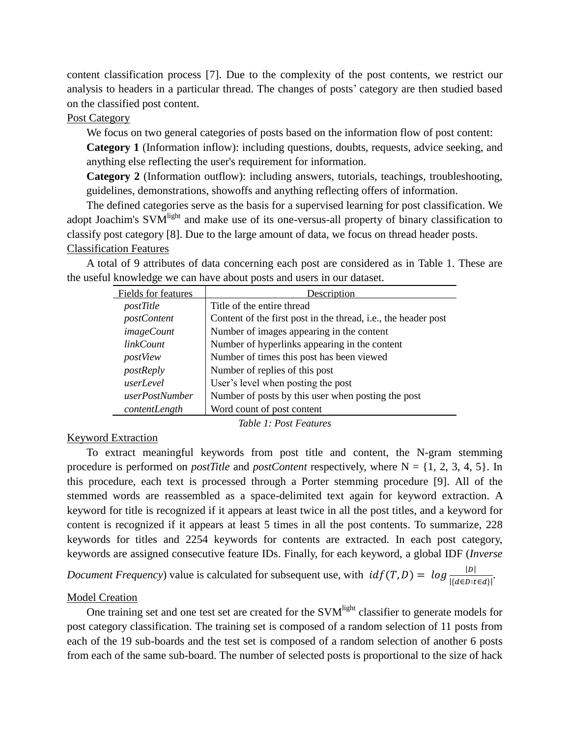content classification process [7]. Due to the complexity of the post contents, we restrict our analysis to headers in a particular thread. The changes of posts' category are then studied based on the classified post content.

## Post Category

We focus on two general categories of posts based on the information flow of post content:

**Category 1** (Information inflow): including questions, doubts, requests, advice seeking, and anything else reflecting the user's requirement for information.

**Category 2** (Information outflow): including answers, tutorials, teachings, troubleshooting, guidelines, demonstrations, showoffs and anything reflecting offers of information.

The defined categories serve as the basis for a supervised learning for post classification. We adopt Joachim's SVM<sup>light</sup> and make use of its one-versus-all property of binary classification to classify post category [8]. Due to the large amount of data, we focus on thread header posts. Classification Features

A total of 9 attributes of data concerning each post are considered as in Table 1. These are the useful knowledge we can have about posts and users in our dataset.

| Fields for features | Description                                                    |  |  |  |  |
|---------------------|----------------------------------------------------------------|--|--|--|--|
| postTitle           | Title of the entire thread                                     |  |  |  |  |
| postContent         | Content of the first post in the thread, i.e., the header post |  |  |  |  |
| <i>imageCount</i>   | Number of images appearing in the content                      |  |  |  |  |
| <i>linkCount</i>    | Number of hyperlinks appearing in the content                  |  |  |  |  |
| postView            | Number of times this post has been viewed                      |  |  |  |  |
| postReply           | Number of replies of this post                                 |  |  |  |  |
| userLevel           | User's level when posting the post                             |  |  |  |  |
| userPostNumber      | Number of posts by this user when posting the post             |  |  |  |  |
| contentLength       | Word count of post content                                     |  |  |  |  |

*Table 1: Post Features*

### Keyword Extraction

To extract meaningful keywords from post title and content, the N-gram stemming procedure is performed on *postTitle* and *postContent* respectively, where N = {1, 2, 3, 4, 5}. In this procedure, each text is processed through a Porter stemming procedure [9]. All of the stemmed words are reassembled as a space-delimited text again for keyword extraction. A keyword for title is recognized if it appears at least twice in all the post titles, and a keyword for content is recognized if it appears at least 5 times in all the post contents. To summarize, 228 keywords for titles and 2254 keywords for contents are extracted. In each post category, keywords are assigned consecutive feature IDs. Finally, for each keyword, a global IDF (*Inverse* 

*Document Frequency*) value is calculated for subsequent use, with  $idf(T,D) = log \frac{|D|}{|\{d \in D: t \in d\}|}$ .

#### Model Creation

One training set and one test set are created for the SVM<sup>light</sup> classifier to generate models for post category classification. The training set is composed of a random selection of 11 posts from each of the 19 sub-boards and the test set is composed of a random selection of another 6 posts from each of the same sub-board. The number of selected posts is proportional to the size of hack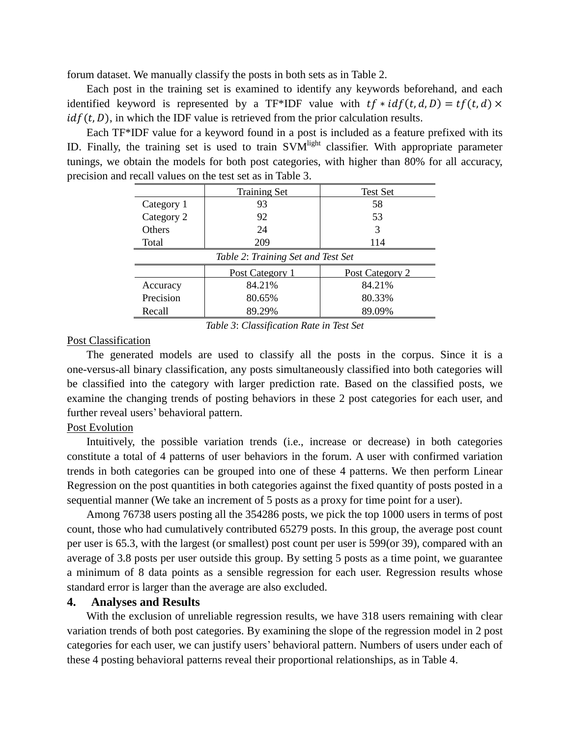forum dataset. We manually classify the posts in both sets as in Table 2.

Each post in the training set is examined to identify any keywords beforehand, and each identified keyword is represented by a TF\*IDF value with  $tf * idf(t, d, D) = tf(t, d) \times$  $idf(t, D)$ , in which the IDF value is retrieved from the prior calculation results.

Each TF\*IDF value for a keyword found in a post is included as a feature prefixed with its ID. Finally, the training set is used to train SVM<sup>light</sup> classifier. With appropriate parameter tunings, we obtain the models for both post categories, with higher than 80% for all accuracy, precision and recall values on the test set as in Table 3.

|                                    | <b>Training Set</b> | <b>Test Set</b> |  |  |  |  |
|------------------------------------|---------------------|-----------------|--|--|--|--|
| Category 1                         | 93                  | 58              |  |  |  |  |
| Category 2                         | 92                  | 53              |  |  |  |  |
| <b>Others</b>                      | 24                  | 3               |  |  |  |  |
| Total                              | 209                 | 114             |  |  |  |  |
| Table 2: Training Set and Test Set |                     |                 |  |  |  |  |
|                                    | Post Category 1     | Post Category 2 |  |  |  |  |
| Accuracy                           | 84.21%              | 84.21%          |  |  |  |  |
| Precision                          | 80.65%              | 80.33%          |  |  |  |  |
| Recall                             | 89.29%              | 89.09%          |  |  |  |  |

*Table 3*: *Classification Rate in Test Set*

### Post Classification

The generated models are used to classify all the posts in the corpus. Since it is a one-versus-all binary classification, any posts simultaneously classified into both categories will be classified into the category with larger prediction rate. Based on the classified posts, we examine the changing trends of posting behaviors in these 2 post categories for each user, and further reveal users' behavioral pattern.

### Post Evolution

Intuitively, the possible variation trends (i.e., increase or decrease) in both categories constitute a total of 4 patterns of user behaviors in the forum. A user with confirmed variation trends in both categories can be grouped into one of these 4 patterns. We then perform Linear Regression on the post quantities in both categories against the fixed quantity of posts posted in a sequential manner (We take an increment of 5 posts as a proxy for time point for a user).

Among 76738 users posting all the 354286 posts, we pick the top 1000 users in terms of post count, those who had cumulatively contributed 65279 posts. In this group, the average post count per user is 65.3, with the largest (or smallest) post count per user is 599(or 39), compared with an average of 3.8 posts per user outside this group. By setting 5 posts as a time point, we guarantee a minimum of 8 data points as a sensible regression for each user. Regression results whose standard error is larger than the average are also excluded.

#### **4. Analyses and Results**

With the exclusion of unreliable regression results, we have 318 users remaining with clear variation trends of both post categories. By examining the slope of the regression model in 2 post categories for each user, we can justify users' behavioral pattern. Numbers of users under each of these 4 posting behavioral patterns reveal their proportional relationships, as in Table 4.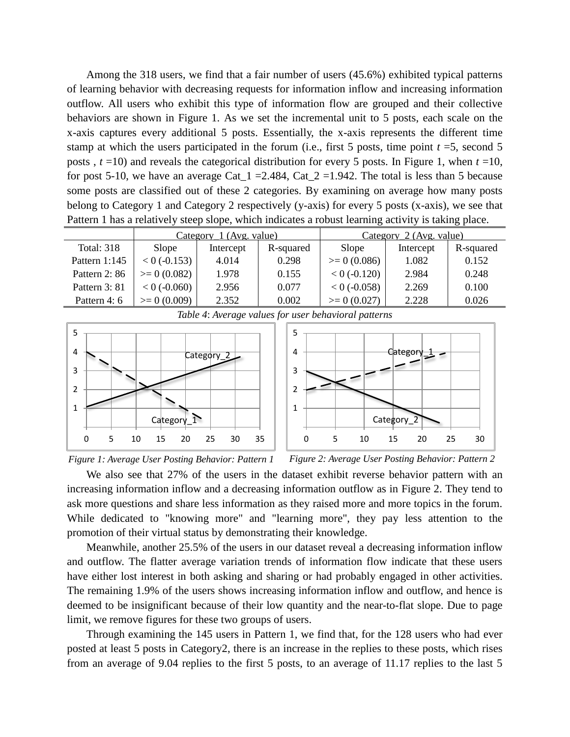Among the 318 users, we find that a fair number of users (45.6%) exhibited typical patterns of learning behavior with decreasing requests for information inflow and increasing information outflow. All users who exhibit this type of information flow are grouped and their collective behaviors are shown in Figure 1. As we set the incremental unit to 5 posts, each scale on the x-axis captures every additional 5 posts. Essentially, the x-axis represents the different time stamp at which the users participated in the forum (i.e., first 5 posts, time point  $t = 5$ , second 5 posts , *t* =10) and reveals the categorical distribution for every 5 posts. In Figure 1, when *t* =10, for post 5-10, we have an average Cat  $1 = 2.484$ , Cat  $2 = 1.942$ . The total is less than 5 because some posts are classified out of these 2 categories. By examining on average how many posts belong to Category 1 and Category 2 respectively (y-axis) for every 5 posts (x-axis), we see that Pattern 1 has a relatively steep slope, which indicates a robust learning activity is taking place.

|                   | Category 1 (Avg. value) |           |           | Category 2 (Avg. value) |           |           |
|-------------------|-------------------------|-----------|-----------|-------------------------|-----------|-----------|
| <b>Total: 318</b> | Slope                   | Intercept | R-squared | <b>Slope</b>            | Intercept | R-squared |
| Pattern $1:145$   | $< 0$ (-0.153)          | 4.014     | 0.298     | $\geq 0$ (0.086)        | 1.082     | 0.152     |
| Pattern 2:86      | $\geq 0$ (0.082)        | 1.978     | 0.155     | $< 0$ (-0.120)          | 2.984     | 0.248     |
| Pattern 3: 81     | $< 0$ (-0.060)          | 2.956     | 0.077     | $< 0$ (-0.058)          | 2.269     | 0.100     |
| Pattern 4: 6      | $\geq 0$ (0.009)        | 2.352     | 0.002     | $\geq 0$ (0.027)        | 2.228     | 0.026     |







*Figure 1: Average User Posting Behavior: Pattern 1 Figure 2: Average User Posting Behavior: Pattern 2*

We also see that 27% of the users in the dataset exhibit reverse behavior pattern with an increasing information inflow and a decreasing information outflow as in Figure 2. They tend to ask more questions and share less information as they raised more and more topics in the forum. While dedicated to "knowing more" and "learning more", they pay less attention to the promotion of their virtual status by demonstrating their knowledge.

Meanwhile, another 25.5% of the users in our dataset reveal a decreasing information inflow and outflow. The flatter average variation trends of information flow indicate that these users have either lost interest in both asking and sharing or had probably engaged in other activities. The remaining 1.9% of the users shows increasing information inflow and outflow, and hence is deemed to be insignificant because of their low quantity and the near-to-flat slope. Due to page limit, we remove figures for these two groups of users.

Through examining the 145 users in Pattern 1, we find that, for the 128 users who had ever posted at least 5 posts in Category2, there is an increase in the replies to these posts, which rises from an average of 9.04 replies to the first 5 posts, to an average of 11.17 replies to the last 5